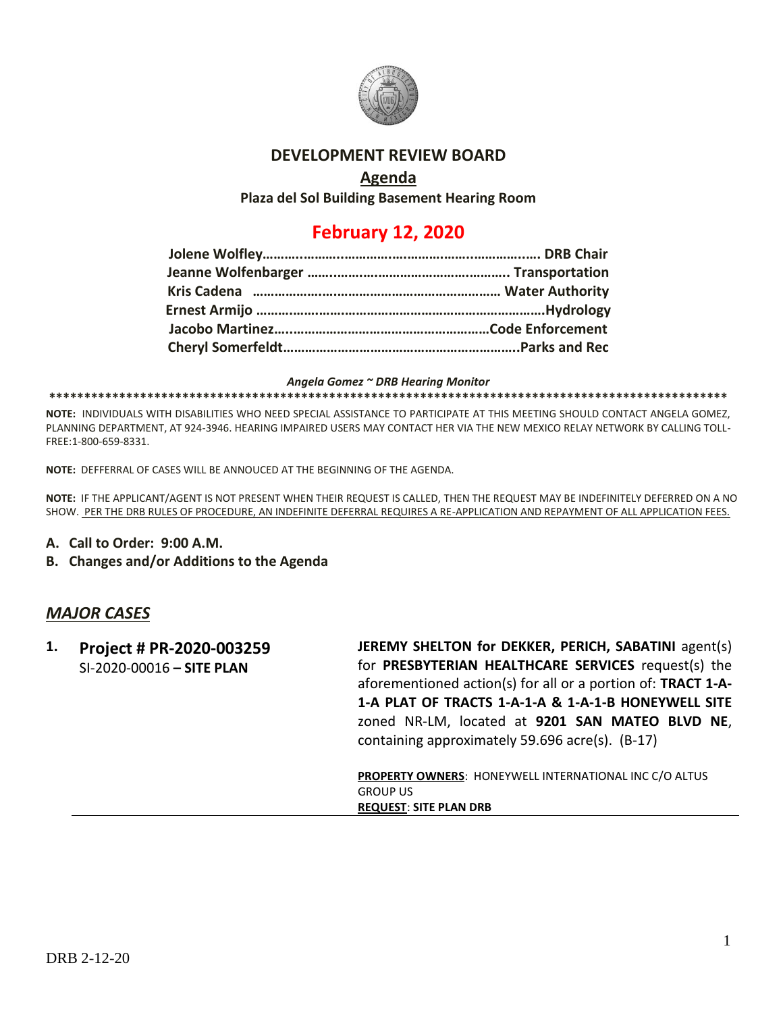

## **DEVELOPMENT REVIEW BOARD**

## **Agenda**

**Plaza del Sol Building Basement Hearing Room**

## **February 12, 2020**

### *Angela Gomez ~ DRB Hearing Monitor*

#### **\*\*\*\*\*\*\*\*\*\*\*\*\*\*\*\*\*\*\*\*\*\*\*\*\*\*\*\*\*\*\*\*\*\*\*\*\*\*\*\*\*\*\*\*\*\*\*\*\*\*\*\*\*\*\*\*\*\*\*\*\*\*\*\*\*\*\*\*\*\*\*\*\*\*\*\*\*\*\*\*\*\*\*\*\*\*\*\*\*\*\*\*\*\*\*\*\***

**NOTE:** INDIVIDUALS WITH DISABILITIES WHO NEED SPECIAL ASSISTANCE TO PARTICIPATE AT THIS MEETING SHOULD CONTACT ANGELA GOMEZ, PLANNING DEPARTMENT, AT 924-3946. HEARING IMPAIRED USERS MAY CONTACT HER VIA THE NEW MEXICO RELAY NETWORK BY CALLING TOLL-FREE:1-800-659-8331.

**NOTE:** DEFFERRAL OF CASES WILL BE ANNOUCED AT THE BEGINNING OF THE AGENDA.

**NOTE:** IF THE APPLICANT/AGENT IS NOT PRESENT WHEN THEIR REQUEST IS CALLED, THEN THE REQUEST MAY BE INDEFINITELY DEFERRED ON A NO SHOW. PER THE DRB RULES OF PROCEDURE, AN INDEFINITE DEFERRAL REQUIRES A RE-APPLICATION AND REPAYMENT OF ALL APPLICATION FEES.

- **A. Call to Order: 9:00 A.M.**
- **B. Changes and/or Additions to the Agenda**

### *MAJOR CASES*

| 1. | Project # PR-2020-003259<br>SI-2020-00016 - SITE PLAN | JEREMY SHELTON for DEKKER, PERICH, SABATINI agent(s)<br>for PRESBYTERIAN HEALTHCARE SERVICES request(s) the<br>aforementioned action(s) for all or a portion of: TRACT 1-A-<br>1-A PLAT OF TRACTS 1-A-1-A & 1-A-1-B HONEYWELL SITE<br>zoned NR-LM, located at 9201 SAN MATEO BLVD NE,<br>containing approximately 59.696 acre(s). (B-17) |
|----|-------------------------------------------------------|------------------------------------------------------------------------------------------------------------------------------------------------------------------------------------------------------------------------------------------------------------------------------------------------------------------------------------------|
|    |                                                       | <b>PROPERTY OWNERS: HONEYWELL INTERNATIONAL INC C/O ALTUS</b><br><b>GROUP US</b><br><b>REQUEST: SITE PLAN DRB</b>                                                                                                                                                                                                                        |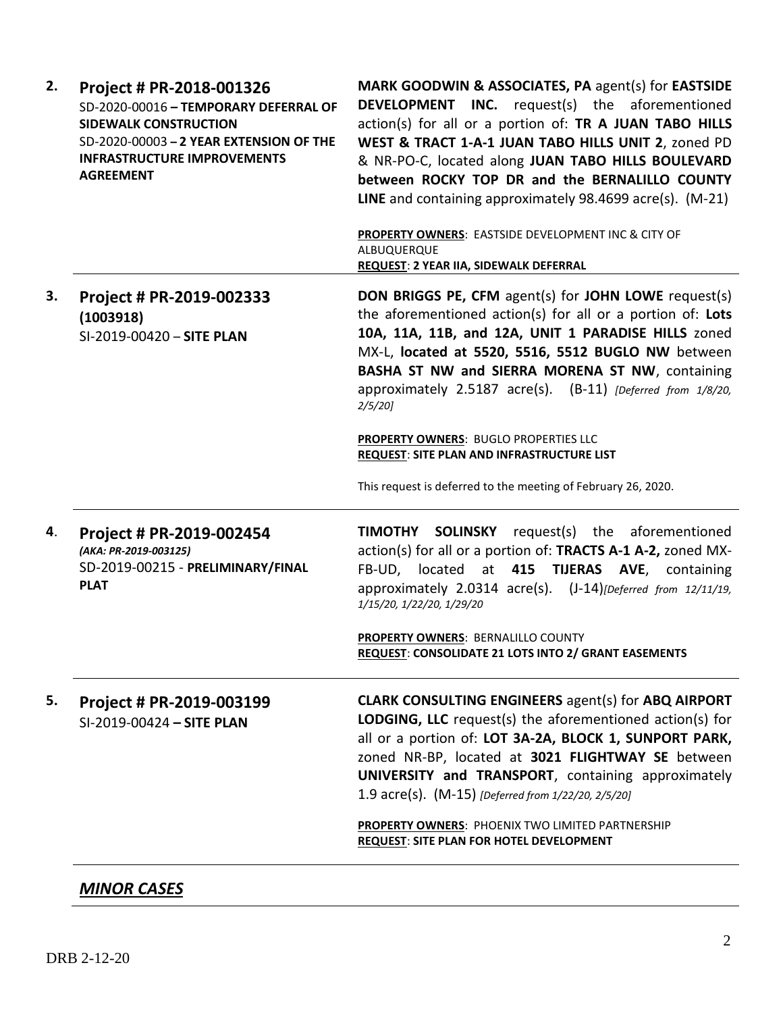| 2. | Project # PR-2018-001326<br>SD-2020-00016 - TEMPORARY DEFERRAL OF<br><b>SIDEWALK CONSTRUCTION</b><br>SD-2020-00003 - 2 YEAR EXTENSION OF THE<br><b>INFRASTRUCTURE IMPROVEMENTS</b><br><b>AGREEMENT</b> | MARK GOODWIN & ASSOCIATES, PA agent(s) for EASTSIDE<br><b>DEVELOPMENT INC.</b> request(s) the aforementioned<br>action(s) for all or a portion of: TR A JUAN TABO HILLS<br>WEST & TRACT 1-A-1 JUAN TABO HILLS UNIT 2, zoned PD<br>& NR-PO-C, located along JUAN TABO HILLS BOULEVARD<br>between ROCKY TOP DR and the BERNALILLO COUNTY<br>LINE and containing approximately 98.4699 acre(s). (M-21)<br>PROPERTY OWNERS: EASTSIDE DEVELOPMENT INC & CITY OF<br>ALBUQUERQUE<br>REQUEST: 2 YEAR IIA, SIDEWALK DEFERRAL |
|----|--------------------------------------------------------------------------------------------------------------------------------------------------------------------------------------------------------|---------------------------------------------------------------------------------------------------------------------------------------------------------------------------------------------------------------------------------------------------------------------------------------------------------------------------------------------------------------------------------------------------------------------------------------------------------------------------------------------------------------------|
| 3. | Project # PR-2019-002333<br>(1003918)<br>SI-2019-00420 - SITE PLAN                                                                                                                                     | <b>DON BRIGGS PE, CFM agent(s) for JOHN LOWE request(s)</b><br>the aforementioned action(s) for all or a portion of: Lots<br>10A, 11A, 11B, and 12A, UNIT 1 PARADISE HILLS zoned<br>MX-L, located at 5520, 5516, 5512 BUGLO NW between<br>BASHA ST NW and SIERRA MORENA ST NW, containing<br>approximately 2.5187 acre(s). (B-11) [Deferred from 1/8/20,<br>2/5/20                                                                                                                                                  |
|    |                                                                                                                                                                                                        | PROPERTY OWNERS: BUGLO PROPERTIES LLC<br>REQUEST: SITE PLAN AND INFRASTRUCTURE LIST<br>This request is deferred to the meeting of February 26, 2020.                                                                                                                                                                                                                                                                                                                                                                |
| 4. | Project # PR-2019-002454<br>(AKA: PR-2019-003125)<br>SD-2019-00215 - PRELIMINARY/FINAL<br><b>PLAT</b>                                                                                                  | TIMOTHY SOLINSKY<br>request(s) the aforementioned<br>action(s) for all or a portion of: TRACTS A-1 A-2, zoned MX-<br>FB-UD, located at 415 TIJERAS AVE, containing<br>approximately 2.0314 acre(s). (J-14)[Deferred from 12/11/19,<br>1/15/20, 1/22/20, 1/29/20                                                                                                                                                                                                                                                     |
|    |                                                                                                                                                                                                        | <b>PROPERTY OWNERS: BERNALILLO COUNTY</b><br>REQUEST: CONSOLIDATE 21 LOTS INTO 2/ GRANT EASEMENTS                                                                                                                                                                                                                                                                                                                                                                                                                   |
| 5. | Project # PR-2019-003199<br>SI-2019-00424 - SITE PLAN                                                                                                                                                  | <b>CLARK CONSULTING ENGINEERS agent(s) for ABQ AIRPORT</b><br>LODGING, LLC request(s) the aforementioned action(s) for<br>all or a portion of: LOT 3A-2A, BLOCK 1, SUNPORT PARK,<br>zoned NR-BP, located at 3021 FLIGHTWAY SE between<br>UNIVERSITY and TRANSPORT, containing approximately<br>1.9 acre(s). (M-15) [Deferred from 1/22/20, 2/5/20]                                                                                                                                                                  |
|    |                                                                                                                                                                                                        | PROPERTY OWNERS: PHOENIX TWO LIMITED PARTNERSHIP<br><b>REQUEST: SITE PLAN FOR HOTEL DEVELOPMENT</b>                                                                                                                                                                                                                                                                                                                                                                                                                 |

# *MINOR CASES*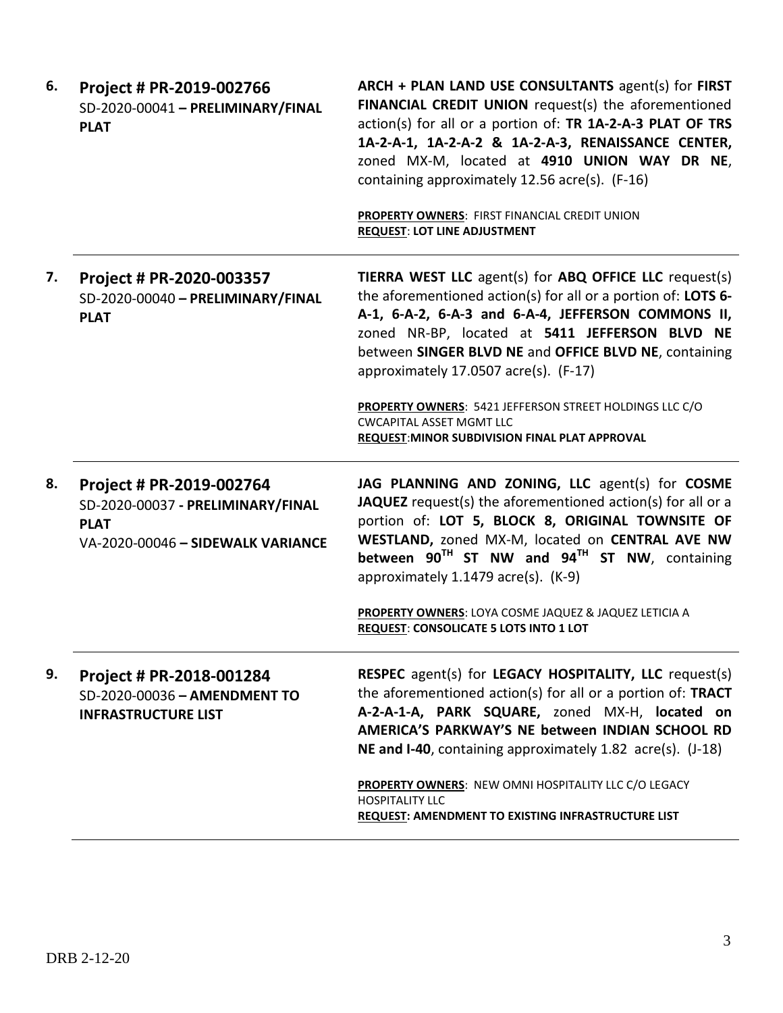| 6. | Project # PR-2019-002766<br>SD-2020-00041 - PRELIMINARY/FINAL<br><b>PLAT</b>                                      | ARCH + PLAN LAND USE CONSULTANTS agent(s) for FIRST<br>FINANCIAL CREDIT UNION request(s) the aforementioned<br>action(s) for all or a portion of: TR 1A-2-A-3 PLAT OF TRS<br>1A-2-A-1, 1A-2-A-2 & 1A-2-A-3, RENAISSANCE CENTER,<br>zoned MX-M, located at 4910 UNION WAY DR NE,<br>containing approximately 12.56 acre(s). (F-16)<br>PROPERTY OWNERS: FIRST FINANCIAL CREDIT UNION<br><b>REQUEST: LOT LINE ADJUSTMENT</b>                                                                |
|----|-------------------------------------------------------------------------------------------------------------------|------------------------------------------------------------------------------------------------------------------------------------------------------------------------------------------------------------------------------------------------------------------------------------------------------------------------------------------------------------------------------------------------------------------------------------------------------------------------------------------|
| 7. | Project # PR-2020-003357<br>SD-2020-00040 - PRELIMINARY/FINAL<br><b>PLAT</b>                                      | TIERRA WEST LLC agent(s) for ABQ OFFICE LLC request(s)<br>the aforementioned action(s) for all or a portion of: LOTS 6-<br>A-1, 6-A-2, 6-A-3 and 6-A-4, JEFFERSON COMMONS II,<br>zoned NR-BP, located at 5411 JEFFERSON BLVD NE<br>between SINGER BLVD NE and OFFICE BLVD NE, containing<br>approximately 17.0507 acre(s). (F-17)<br><b>PROPERTY OWNERS: 5421 JEFFERSON STREET HOLDINGS LLC C/O</b><br><b>CWCAPITAL ASSET MGMT LLC</b><br>REQUEST: MINOR SUBDIVISION FINAL PLAT APPROVAL |
| 8. | Project # PR-2019-002764<br>SD-2020-00037 - PRELIMINARY/FINAL<br><b>PLAT</b><br>VA-2020-00046 - SIDEWALK VARIANCE | JAG PLANNING AND ZONING, LLC agent(s) for COSME<br>JAQUEZ request(s) the aforementioned action(s) for all or a<br>portion of: LOT 5, BLOCK 8, ORIGINAL TOWNSITE OF<br>WESTLAND, zoned MX-M, located on CENTRAL AVE NW<br>between 90 <sup>TH</sup> ST NW and 94 <sup>TH</sup> ST NW, containing<br>approximately $1.1479$ acre(s). (K-9)<br>PROPERTY OWNERS: LOYA COSME JAQUEZ & JAQUEZ LETICIA A<br>REQUEST: CONSOLICATE 5 LOTS INTO 1 LOT                                               |
| 9. | Project # PR-2018-001284<br>SD-2020-00036 - AMENDMENT TO<br><b>INFRASTRUCTURE LIST</b>                            | RESPEC agent(s) for LEGACY HOSPITALITY, LLC request(s)<br>the aforementioned action(s) for all or a portion of: TRACT<br>A-2-A-1-A, PARK SQUARE, zoned MX-H, located on<br>AMERICA'S PARKWAY'S NE between INDIAN SCHOOL RD<br>NE and I-40, containing approximately 1.82 acre(s). (J-18)<br>PROPERTY OWNERS: NEW OMNI HOSPITALITY LLC C/O LEGACY<br><b>HOSPITALITY LLC</b><br>REQUEST: AMENDMENT TO EXISTING INFRASTRUCTURE LIST                                                         |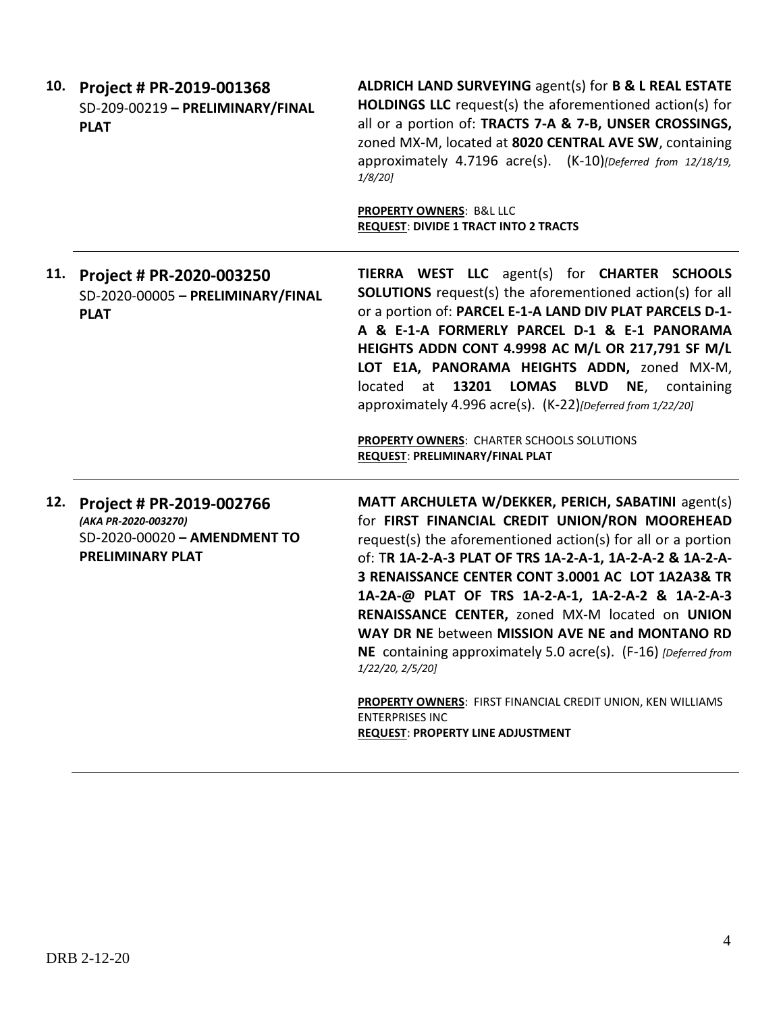| 10. | Project # PR-2019-001368<br>SD-209-00219 - PRELIMINARY/FINAL<br><b>PLAT</b>                                 | ALDRICH LAND SURVEYING agent(s) for B & L REAL ESTATE<br><b>HOLDINGS LLC</b> request(s) the aforementioned action(s) for<br>all or a portion of: TRACTS 7-A & 7-B, UNSER CROSSINGS,<br>zoned MX-M, located at 8020 CENTRAL AVE SW, containing<br>approximately 4.7196 acre(s). (K-10)[Deferred from 12/18/19,<br>$1/8/20$ ]                                                                                                                                                                                                                                                                                                                                                 |
|-----|-------------------------------------------------------------------------------------------------------------|-----------------------------------------------------------------------------------------------------------------------------------------------------------------------------------------------------------------------------------------------------------------------------------------------------------------------------------------------------------------------------------------------------------------------------------------------------------------------------------------------------------------------------------------------------------------------------------------------------------------------------------------------------------------------------|
|     |                                                                                                             | <b>PROPERTY OWNERS: B&amp;L LLC</b><br><b>REQUEST: DIVIDE 1 TRACT INTO 2 TRACTS</b>                                                                                                                                                                                                                                                                                                                                                                                                                                                                                                                                                                                         |
| 11. | Project # PR-2020-003250<br>SD-2020-00005 - PRELIMINARY/FINAL<br><b>PLAT</b>                                | TIERRA WEST LLC agent(s) for CHARTER SCHOOLS<br><b>SOLUTIONS</b> request(s) the aforementioned action(s) for all<br>or a portion of: PARCEL E-1-A LAND DIV PLAT PARCELS D-1-<br>A & E-1-A FORMERLY PARCEL D-1 & E-1 PANORAMA<br>HEIGHTS ADDN CONT 4.9998 AC M/L OR 217,791 SF M/L<br>LOT E1A, PANORAMA HEIGHTS ADDN, zoned MX-M,<br>located<br>13201 LOMAS<br><b>BLVD</b><br>NE,<br>at<br>containing<br>approximately 4.996 acre(s). (K-22)[Deferred from 1/22/20]<br><b>PROPERTY OWNERS: CHARTER SCHOOLS SOLUTIONS</b><br>REQUEST: PRELIMINARY/FINAL PLAT                                                                                                                  |
| 12. | Project # PR-2019-002766<br>(AKA PR-2020-003270)<br>SD-2020-00020 - AMENDMENT TO<br><b>PRELIMINARY PLAT</b> | MATT ARCHULETA W/DEKKER, PERICH, SABATINI agent(s)<br>for FIRST FINANCIAL CREDIT UNION/RON MOOREHEAD<br>request(s) the aforementioned action(s) for all or a portion<br>of: TR 1A-2-A-3 PLAT OF TRS 1A-2-A-1, 1A-2-A-2 & 1A-2-A-<br>3 RENAISSANCE CENTER CONT 3.0001 AC LOT 1A2A3& TR<br>1A-2A-@ PLAT OF TRS 1A-2-A-1, 1A-2-A-2 & 1A-2-A-3<br>RENAISSANCE CENTER, zoned MX-M located on UNION<br>WAY DR NE between MISSION AVE NE and MONTANO RD<br>NE containing approximately 5.0 acre(s). (F-16) [Deferred from<br>1/22/20, 2/5/20]<br>PROPERTY OWNERS: FIRST FINANCIAL CREDIT UNION, KEN WILLIAMS<br><b>ENTERPRISES INC</b><br><b>REQUEST: PROPERTY LINE ADJUSTMENT</b> |